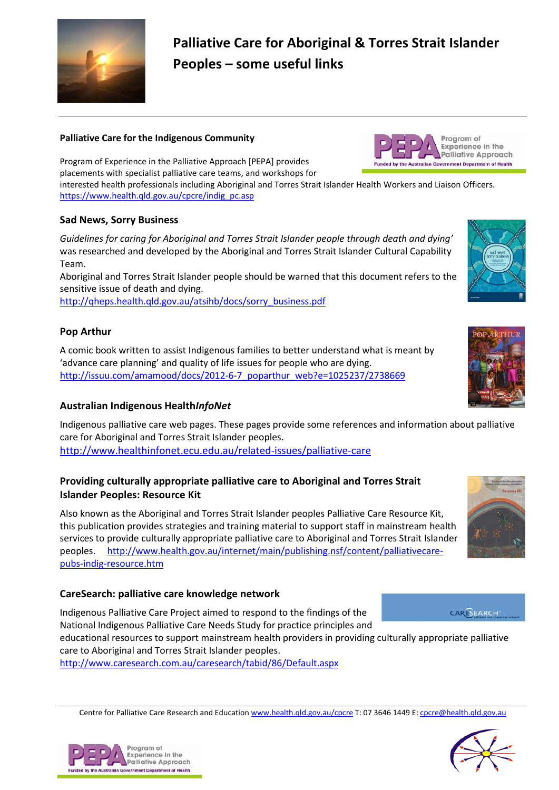

# **Palliative Care for Aboriginal & Torres Strait Islander Peoples – some useful links**

### **Palliative Care for the Indigenous Community**

Program of Experience in the Palliative Approach [PEPA] provides placements with specialist palliative care teams, and workshops for

interested health professionals including Aboriginal and Torres Strait Islander Health Workers and Liaison Officers. [https://www.health.qld.gov.au/cpcre/indig\\_pc.asp](https://www.health.qld.gov.au/cpcre/indig_pc.asp)

### **Sad News, Sorry Business**

*Guidelines for caring for Aboriginal and Torres Strait Islander people through death and dying'*  was researched and developed by the Aboriginal and Torres Strait Islander Cultural Capability Team.

Aboriginal and Torres Strait Islander people should be warned that this document refers to the sensitive issue of death and dying.

[http://qheps.health.qld.gov.au/atsihb/docs/sorry\\_business.pdf](http://qheps.health.qld.gov.au/atsihb/docs/sorry_business.pdf)

# **Pop Arthur**

A comic book written to assist Indigenous families to better understand what is meant by 'advance care planning' and quality of life issues for people who are dying. [http://issuu.com/amamood/docs/2012-6-7\\_poparthur\\_web?e=1025237/2738669](http://issuu.com/amamood/docs/2012-6-7_poparthur_web?e=1025237/2738669)

# **Australian Indigenous Health***InfoNet*

Indigenous palliative care web pages. These pages provide some references and information about palliative care for Aboriginal and Torres Strait Islander peoples. <http://www.healthinfonet.ecu.edu.au/related-issues/palliative-care>

### **Providing culturally appropriate palliative care to Aboriginal and Torres Strait Islander Peoples: Resource Kit**

Also known as the Aboriginal and Torres Strait Islander peoples Palliative Care Resource Kit, this publication provides strategies and training material to support staff in mainstream health services to provide culturally appropriate palliative care to Aboriginal and Torres Strait Islander peoples. [http://www.health.gov.au/internet/main/publishing.nsf/content/palliativecare](http://www.health.gov.au/internet/main/publishing.nsf/content/palliativecare-pubs-indig-resource.htm)[pubs-indig-resource.htm](http://www.health.gov.au/internet/main/publishing.nsf/content/palliativecare-pubs-indig-resource.htm)

### **CareSearch: palliative care knowledge network**

Indigenous Palliative Care Project aimed to respond to the findings of the [National Indigenous Palliative Care Needs Study](http://pandora.nla.gov.au/pan/56044/20060529-0000/www.health.gov.au/internet/wcms/publishing.nsf/Content/5619BFE763995E17CA256F410011C5C3/$File/needall.pdf) for practice principles and

educational resources to support mainstream health providers in providing culturally appropriate palliative care to Aboriginal and Torres Strait Islander peoples.

<http://www.caresearch.com.au/caresearch/tabid/86/Default.aspx>

Centre for Palliative Care Research and Educatio[n www.health.qld.gov.au/cpcre](http://www.health.qld.gov.au/cpcre) T: 07 3646 1449 E[: cpcre@health.qld.gov.au](mailto:cpcre@health.qld.gov.au)





Program of **Experience in the Palliative Approach** 

by the Australian Government Department of Health





**CARESEARCH**